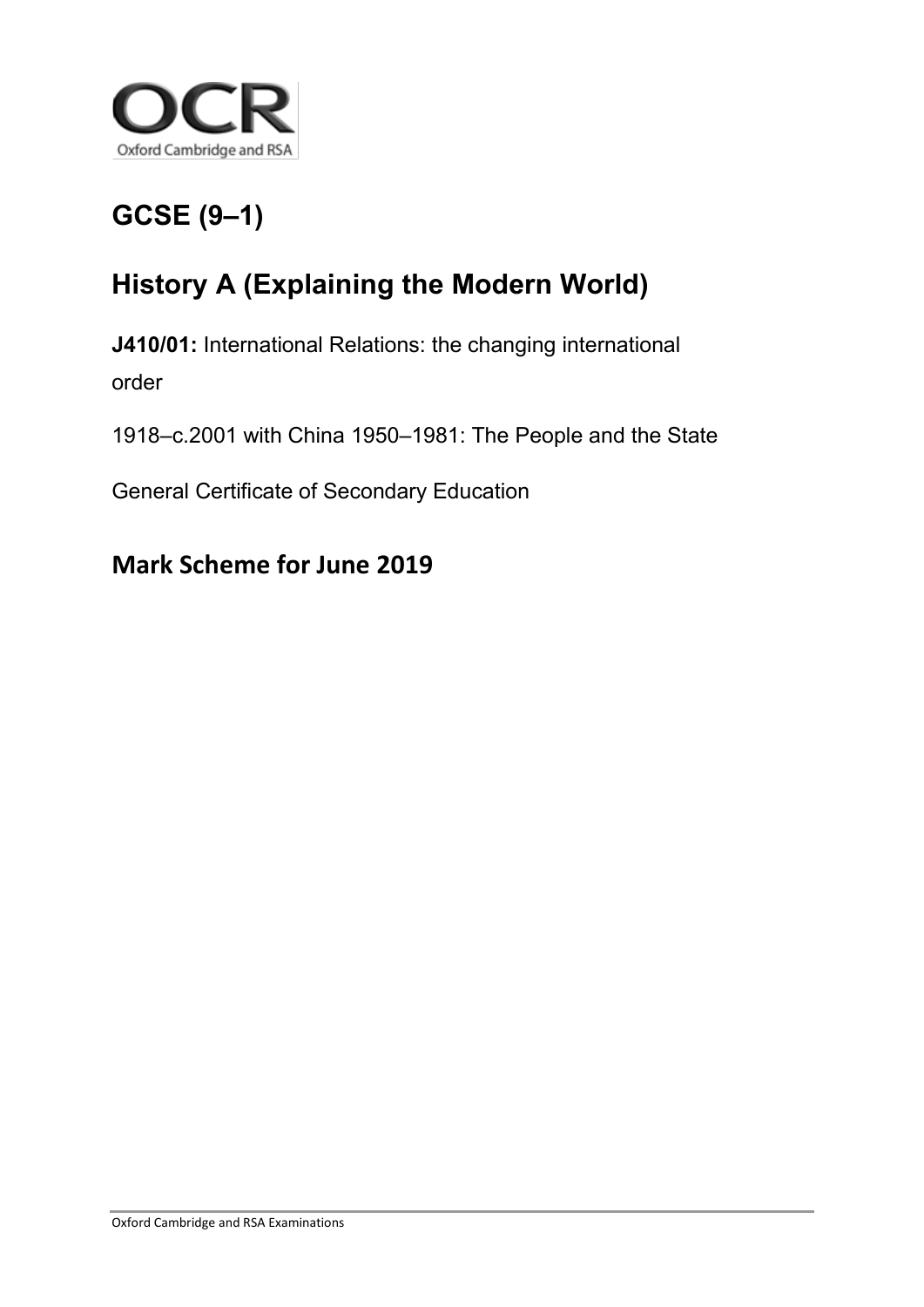

## **GCSE (9–1)**

## **History A (Explaining the Modern World)**

**J410/01:** International Relations: the changing international order

1918–c.2001 with China 1950–1981: The People and the State

General Certificate of Secondary Education

## **Mark Scheme for June 2019**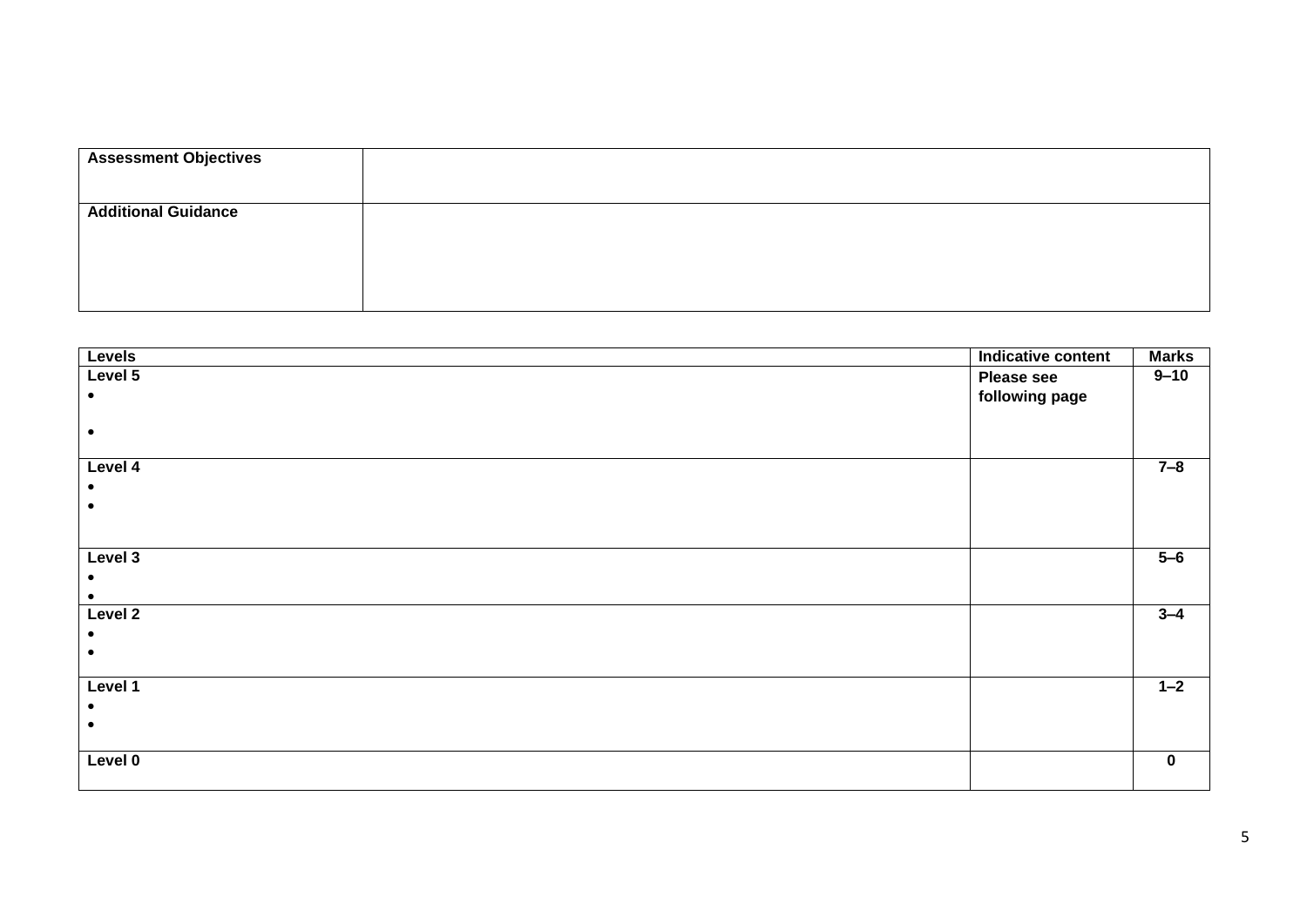## 2. Explain why the USA and USSR clashed over Germany between 1945 and 1949.

| <b>Assessment Objectives</b> | AO1: Demonstrate knowledge and understanding of the key features and characteristics of the periods studied. [5]                                                                        |
|------------------------------|-----------------------------------------------------------------------------------------------------------------------------------------------------------------------------------------|
|                              | AO2: Explain and analyse historical events and periods studied using second order historical concepts. [5]                                                                              |
| <b>Additional Guidance</b>   | The 'Indicative content' is an example of historically valid content; any other historically valid content is acceptable and<br>should be credited in line with the levels of response. |
|                              | The 'Indicative content' shown is not a full exemplar answer, but exemplifies the sophistication expected at each level.                                                                |
|                              | No reward can be given for wider knowledge of the period that remains unrelated to the topic in the question.                                                                           |

| <b>Levels</b>                                                                                                                  | Indicative content | <b>Marks</b> |
|--------------------------------------------------------------------------------------------------------------------------------|--------------------|--------------|
| Level 5                                                                                                                        | Please see         | $9 - 10$     |
| The response demonstrates a range of detailed and accurate knowledge and understanding that is fully relevant to the           | following page     |              |
| question.                                                                                                                      |                    |              |
| This is used to develop a full explanation and thorough, convincing analysis, using second order historical concepts, of the   |                    |              |
| issue in the question.                                                                                                         |                    |              |
| Level 4                                                                                                                        |                    | $7 - 8$      |
| The response demonstrates a range of accurate knowledge and understanding that is fully relevant to the question.              |                    |              |
| This is used to develop a full explanation and analysis, using second order historical concepts, of the issue in the question. |                    |              |
|                                                                                                                                |                    |              |
|                                                                                                                                |                    |              |
| Level 3                                                                                                                        |                    | $5 - 6$      |
| The response demonstrates accurate knowledge and understanding that is relevant to the question.                               |                    |              |
| This is linked to an analysis and explanation, using second order historical concepts, of the issue in the question.           |                    |              |
| Level 2                                                                                                                        |                    | $3 - 4$      |
| The response demonstrates some knowledge and understanding that is relevant to the question.                                   |                    |              |
| This is used to attempt a basic explanation, using second order historical concepts, of the issue in the question.             |                    |              |
|                                                                                                                                |                    |              |
| Level 1                                                                                                                        |                    | $1 - 2$      |
| The response demonstrates basic knowledge that is relevant to the topic of the question.                                       |                    |              |
| There is an attempt at a very basic explanation of the issue in the question, which may be close to assertion. Second order    |                    |              |
| historical concepts are not used explicitly, but some very basic understanding of these is apparent in the answer.             |                    |              |
| Level 0                                                                                                                        |                    | 0            |
| No response or no response worthy of credit.                                                                                   |                    |              |